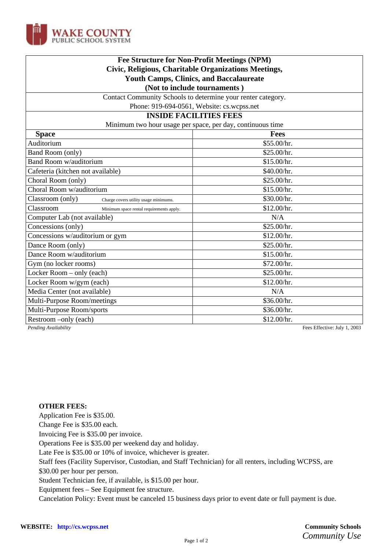

| Fee Structure for Non-Profit Meetings (NPM)<br>Civic, Religious, Charitable Organizations Meetings, |             |
|-----------------------------------------------------------------------------------------------------|-------------|
|                                                                                                     |             |
| (Not to include tournaments)                                                                        |             |
| Contact Community Schools to determine your renter category.                                        |             |
| Phone: 919-694-0561, Website: cs.wcpss.net                                                          |             |
| <b>INSIDE FACILITIES FEES</b>                                                                       |             |
| Minimum two hour usage per space, per day, continuous time                                          |             |
| <b>Space</b>                                                                                        | <b>Fees</b> |
| Auditorium                                                                                          | \$55.00/hr. |
| Band Room (only)                                                                                    | \$25.00/hr. |
| <b>Band Room w/auditorium</b>                                                                       | \$15.00/hr. |
| Cafeteria (kitchen not available)                                                                   | \$40.00/hr. |
| Choral Room (only)                                                                                  | \$25.00/hr. |
| Choral Room w/auditorium                                                                            | \$15.00/hr. |
| Classroom (only)<br>Charge covers utility usage minimums.                                           | \$30.00/hr. |
| Classroom<br>Minimum space rental requirements apply.                                               | \$12.00/hr. |
| Computer Lab (not available)                                                                        | N/A         |
| Concessions (only)                                                                                  | \$25.00/hr. |
| Concessions w/auditorium or gym                                                                     | \$12.00/hr. |
| Dance Room (only)                                                                                   | \$25.00/hr. |
| Dance Room w/auditorium                                                                             | \$15.00/hr. |
| Gym (no locker rooms)                                                                               | \$72.00/hr. |
| Locker Room – only (each)                                                                           | \$25.00/hr. |
| Locker Room w/gym (each)                                                                            | \$12.00/hr. |
| Media Center (not available)                                                                        | N/A         |
| Multi-Purpose Room/meetings                                                                         | \$36.00/hr. |
| Multi-Purpose Room/sports                                                                           | \$36.00/hr. |
| Restroom -only (each)                                                                               | \$12.00/hr. |

*Pending Availability* Fees Effective: July 1, 2003

### **OTHER FEES:**

Application Fee is \$35.00.

Change Fee is \$35.00 each.

Invoicing Fee is \$35.00 per invoice.

Operations Fee is \$35.00 per weekend day and holiday.

Late Fee is \$35.00 or 10% of invoice, whichever is greater.

Staff fees (Facility Supervisor, Custodian, and Staff Technician) for all renters, including WCPSS, are

\$30.00 per hour per person.

Student Technician fee, if available, is \$15.00 per hour.

Equipment fees – See Equipment fee structure.

Cancelation Policy: Event must be canceled 15 business days prior to event date or full payment is due.